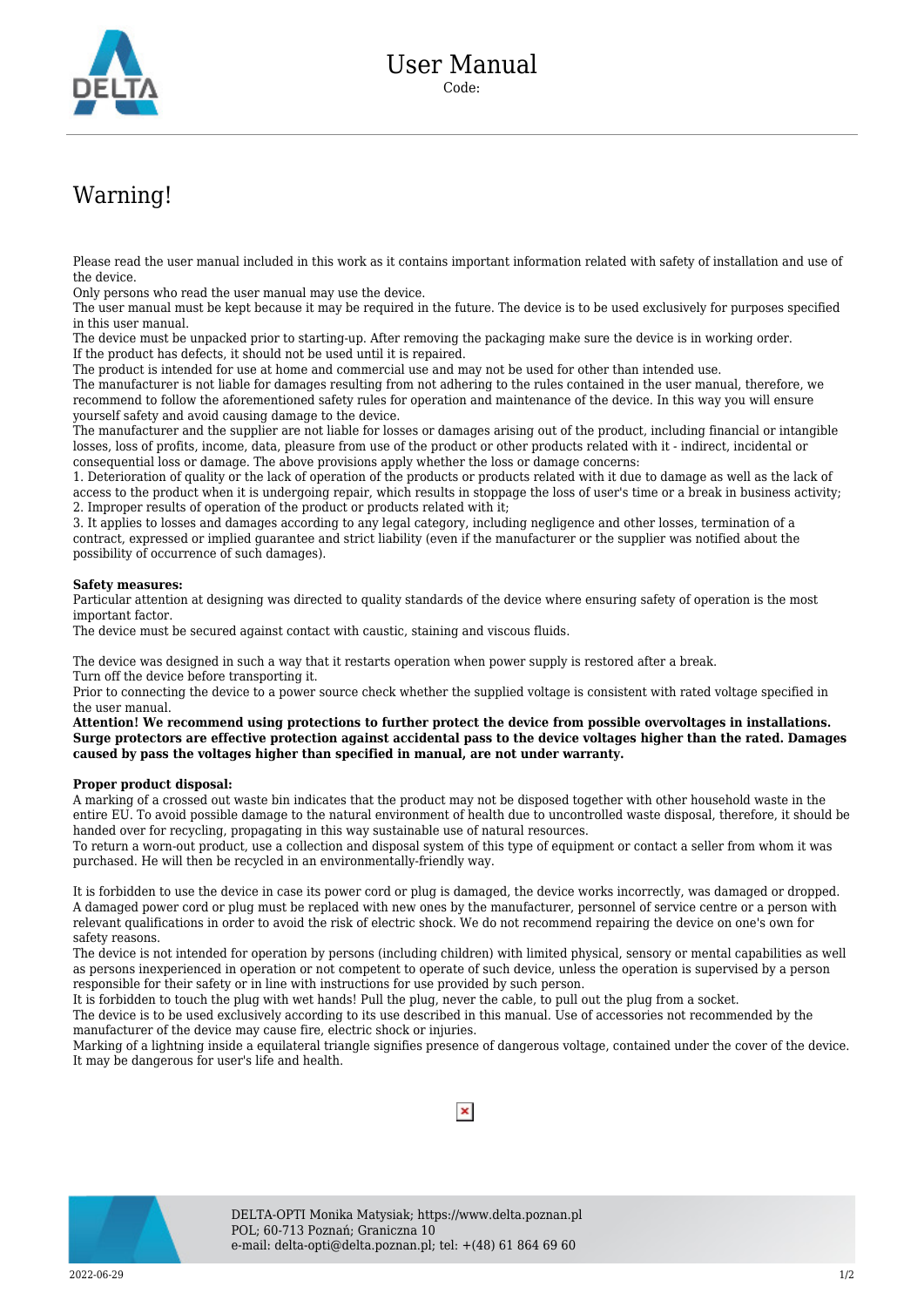

## Warning!

Please read the user manual included in this work as it contains important information related with safety of installation and use of the device.

Only persons who read the user manual may use the device.

The user manual must be kept because it may be required in the future. The device is to be used exclusively for purposes specified in this user manual.

The device must be unpacked prior to starting-up. After removing the packaging make sure the device is in working order. If the product has defects, it should not be used until it is repaired.

The product is intended for use at home and commercial use and may not be used for other than intended use.

The manufacturer is not liable for damages resulting from not adhering to the rules contained in the user manual, therefore, we recommend to follow the aforementioned safety rules for operation and maintenance of the device. In this way you will ensure yourself safety and avoid causing damage to the device.

The manufacturer and the supplier are not liable for losses or damages arising out of the product, including financial or intangible losses, loss of profits, income, data, pleasure from use of the product or other products related with it - indirect, incidental or consequential loss or damage. The above provisions apply whether the loss or damage concerns:

1. Deterioration of quality or the lack of operation of the products or products related with it due to damage as well as the lack of access to the product when it is undergoing repair, which results in stoppage the loss of user's time or a break in business activity; 2. Improper results of operation of the product or products related with it;

3. It applies to losses and damages according to any legal category, including negligence and other losses, termination of a contract, expressed or implied guarantee and strict liability (even if the manufacturer or the supplier was notified about the possibility of occurrence of such damages).

## **Safety measures:**

Particular attention at designing was directed to quality standards of the device where ensuring safety of operation is the most important factor.

The device must be secured against contact with caustic, staining and viscous fluids.

The device was designed in such a way that it restarts operation when power supply is restored after a break. Turn off the device before transporting it.

Prior to connecting the device to a power source check whether the supplied voltage is consistent with rated voltage specified in the user manual.

**Attention! We recommend using protections to further protect the device from possible overvoltages in installations. Surge protectors are effective protection against accidental pass to the device voltages higher than the rated. Damages caused by pass the voltages higher than specified in manual, are not under warranty.**

## **Proper product disposal:**

A marking of a crossed out waste bin indicates that the product may not be disposed together with other household waste in the entire EU. To avoid possible damage to the natural environment of health due to uncontrolled waste disposal, therefore, it should be handed over for recycling, propagating in this way sustainable use of natural resources.

To return a worn-out product, use a collection and disposal system of this type of equipment or contact a seller from whom it was purchased. He will then be recycled in an environmentally-friendly way.

It is forbidden to use the device in case its power cord or plug is damaged, the device works incorrectly, was damaged or dropped. A damaged power cord or plug must be replaced with new ones by the manufacturer, personnel of service centre or a person with relevant qualifications in order to avoid the risk of electric shock. We do not recommend repairing the device on one's own for safety reasons.

The device is not intended for operation by persons (including children) with limited physical, sensory or mental capabilities as well as persons inexperienced in operation or not competent to operate of such device, unless the operation is supervised by a person responsible for their safety or in line with instructions for use provided by such person.

It is forbidden to touch the plug with wet hands! Pull the plug, never the cable, to pull out the plug from a socket.

The device is to be used exclusively according to its use described in this manual. Use of accessories not recommended by the manufacturer of the device may cause fire, electric shock or injuries.

Marking of a lightning inside a equilateral triangle signifies presence of dangerous voltage, contained under the cover of the device. It may be dangerous for user's life and health.

 $\pmb{\times}$